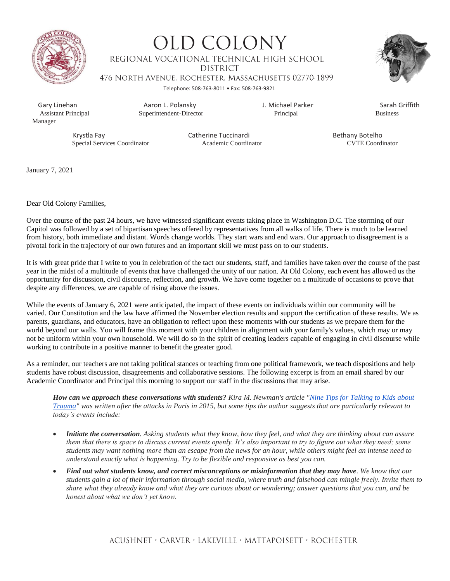

**OLD COLONY** REGIONAL VOCATIONAL TECHNICAL HIGH SCHOOL **DISTRICT** 476 NORTH AVENUE, ROCHESTER, MASSACHUSETTS 02770-1899



Telephone: 508-763-8011 • Fax: 508-763-9821

Manager

 Gary Linehan Aaron L. Polansky J. Michael Parker Sarah Griffith Superintendent-Director

Krystla Fay **Catherine Tuccinardi** Bethany Botelho<br>
Special Services Coordinator **Condinator** Academic Coordinator **Bethany Botelho**<br>
CVTE Coordinator Special Services Coordinator

January 7, 2021

Dear Old Colony Families,

Over the course of the past 24 hours, we have witnessed significant events taking place in Washington D.C. The storming of our Capitol was followed by a set of bipartisan speeches offered by representatives from all walks of life. There is much to be learned from history, both immediate and distant. Words change worlds. They start wars and end wars. Our approach to disagreement is a pivotal fork in the trajectory of our own futures and an important skill we must pass on to our students.

It is with great pride that I write to you in celebration of the tact our students, staff, and families have taken over the course of the past year in the midst of a multitude of events that have challenged the unity of our nation. At Old Colony, each event has allowed us the opportunity for discussion, civil discourse, reflection, and growth. We have come together on a multitude of occasions to prove that despite any differences, we are capable of rising above the issues.

While the events of January 6, 2021 were anticipated, the impact of these events on individuals within our community will be varied. Our Constitution and the law have affirmed the November election results and support the certification of these results. We as parents, guardians, and educators, have an obligation to reflect upon these moments with our students as we prepare them for the world beyond our walls. You will frame this moment with your children in alignment with your family's values, which may or may not be uniform within your own household. We will do so in the spirit of creating leaders capable of engaging in civil discourse while working to contribute in a positive manner to benefit the greater good.

As a reminder, our teachers are not taking political stances or teaching from one political framework, we teach dispositions and help students have robust discussion, disagreements and collaborative sessions. The following excerpt is from an email shared by our Academic Coordinator and Principal this morning to support our staff in the discussions that may arise.

*How can we approach these conversations with students? Kira M. Newman's article ["Nine Tips for Talking to Kids about](https://mass.us14.list-manage.com/track/click?u=d8f37d1a90dacd97f207f0b4a&id=4f709bcb42&e=18d471d639)  [Trauma"](https://mass.us14.list-manage.com/track/click?u=d8f37d1a90dacd97f207f0b4a&id=4f709bcb42&e=18d471d639) was written after the attacks in Paris in 2015, but some tips the author suggests that are particularly relevant to today's events include:*

- *Initiate the conversation. Asking students what they know, how they feel, and what they are thinking about can assure them that there is space to discuss current events openly. It's also important to try to figure out what they need; some students may want nothing more than an escape from the news for an hour, while others might feel an intense need to understand exactly what is happening. Try to be flexible and responsive as best you can.*
- *Find out what students know, and correct misconceptions or misinformation that they may have. We know that our students gain a lot of their information through social media, where truth and falsehood can mingle freely. Invite them to share what they already know and what they are curious about or wondering; answer questions that you can, and be honest about what we don't yet know.*